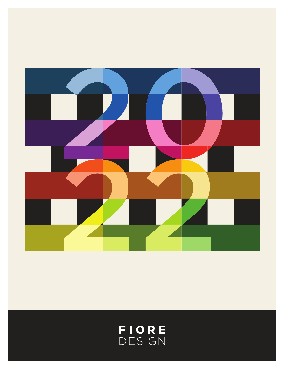

# FIORE<br>DESIGN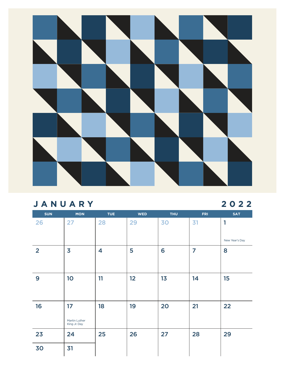

#### **JANUARY 2022**

| <b>SUN</b>     | <b>MON</b>                    | <b>TUE</b>              | <b>WED</b> | <b>THU</b> | <b>FRI</b> | <b>SAT</b>     |
|----------------|-------------------------------|-------------------------|------------|------------|------------|----------------|
| 26             | 27                            | 28                      | 29         | 30         | 31         | 1              |
|                |                               |                         |            |            |            | New Year's Day |
| $\overline{2}$ | $\overline{\mathbf{3}}$       | $\overline{\mathbf{4}}$ | 5          | 6          | 7          | 8              |
|                |                               |                         |            |            |            |                |
| 9              | 10                            | 11                      | 12         | 13         | 14         | 15             |
|                |                               |                         |            |            |            |                |
| 16             | 17                            | 18                      | 19         | 20         | 21         | 22             |
|                | Martin Luther<br>King Jr. Day |                         |            |            |            |                |
| 23             | 24                            | 25                      | 26         | 27         | 28         | 29             |
| 30             | 31                            |                         |            |            |            |                |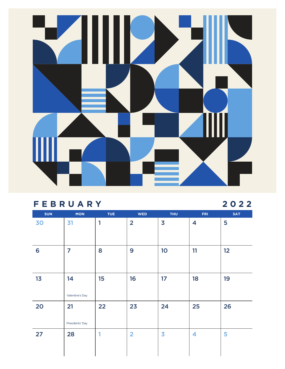# I  $\blacksquare$

#### **FEBRUARY 2022**

| <b>SUN</b> | <b>MON</b>      | TUE | <b>WED</b>     | <b>THU</b>              | <b>FRI</b> | <b>SAT</b> |
|------------|-----------------|-----|----------------|-------------------------|------------|------------|
| 30         | 31              | 1   | $\overline{2}$ | $\overline{\mathbf{3}}$ | 4          | 5          |
|            |                 |     |                |                         |            |            |
| 6          | $\overline{7}$  | 8   | 9              | 10                      | 11         | 12         |
|            |                 |     |                |                         |            |            |
| 13         | 14              | 15  | 16             | 17                      | 18         | 19         |
|            | Valentine's Day |     |                |                         |            |            |
| 20         | 21              | 22  | 23             | 24                      | 25         | 26         |
|            | Presidents' Day |     |                |                         |            |            |
| 27         | 28              | 1   | $\overline{2}$ | $\overline{\mathbf{3}}$ | 4          | 5          |
|            |                 |     |                |                         |            |            |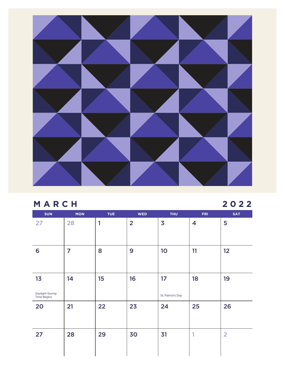

#### **MARCH 2022**

| <b>SUN</b>                                  | <b>MON</b>     | <b>TUE</b> | <b>WED</b>     | <b>THU</b>              | <b>FRI</b> | <b>SAT</b>     |
|---------------------------------------------|----------------|------------|----------------|-------------------------|------------|----------------|
| 27                                          | 28             | 1          | $\overline{2}$ | $\overline{\mathbf{3}}$ | 4          | 5              |
| 6                                           | $\overline{7}$ | 8          | 9              | 10                      | 11         | 12             |
| 13<br>Daylight Saving<br><b>Time Begins</b> | 14             | 15         | 16             | 17<br>St. Patrick's Day | 18         | 19             |
| 20                                          | 21             | 22         | 23             | 24                      | 25         | 26             |
| 27                                          | 28             | 29         | 30             | 31                      | и          | $\overline{2}$ |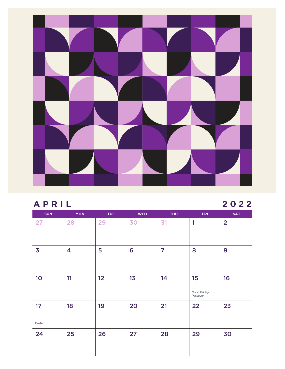

#### **APRIL 2022**

| <b>SUN</b>              | <b>MON</b> | <b>TUE</b> | <b>WED</b> | <b>THU</b>     | <b>FRI</b>              | <b>SAT</b>     |
|-------------------------|------------|------------|------------|----------------|-------------------------|----------------|
| 27                      | 28         | 29         | 30         | 31             | 1                       | $\overline{2}$ |
|                         |            |            |            |                |                         |                |
| $\overline{\mathbf{3}}$ | 4          | 5          | 6          | $\overline{7}$ | 8                       | 9              |
|                         |            |            |            |                |                         |                |
| 10                      | 11         | 12         | 13         | 14             | 15                      | 16             |
|                         |            |            |            |                | Good Friday<br>Passover |                |
| 17                      | 18         | 19         | 20         | 21             | 22                      | 23             |
| Easter                  |            |            |            |                |                         |                |
| 24                      | 25         | 26         | 27         | 28             | 29                      | 30             |
|                         |            |            |            |                |                         |                |
|                         |            |            |            |                |                         |                |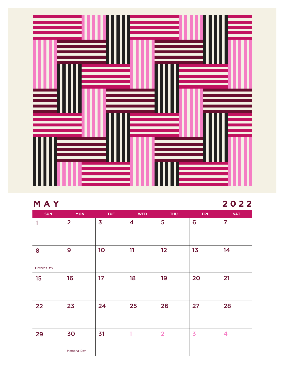

### **MAY 2022**

| <b>SUN</b>   | <b>MON</b>          | <b>TUE</b>              | <b>WED</b> | <b>THU</b>     | <b>FRI</b>              | <b>SAT</b>     |
|--------------|---------------------|-------------------------|------------|----------------|-------------------------|----------------|
| 1            | $\overline{2}$      | $\overline{\mathbf{3}}$ | 4          | 5              | 6                       | $\overline{7}$ |
|              |                     |                         |            |                |                         |                |
|              |                     |                         |            |                |                         |                |
| 8            | 9                   | 10                      | 11         | 12             | 13                      | 14             |
|              |                     |                         |            |                |                         |                |
| Mother's Day |                     |                         |            |                |                         |                |
| 15           | 16                  | 17                      | 18         | 19             | 20                      | 21             |
|              |                     |                         |            |                |                         |                |
|              |                     |                         |            |                |                         |                |
| 22           | 23                  | 24                      | 25         | 26             | 27                      | 28             |
|              |                     |                         |            |                |                         |                |
|              |                     |                         |            |                |                         |                |
| 29           | 30                  | 31                      | 1          | $\overline{2}$ | $\overline{\mathbf{3}}$ | 4              |
|              |                     |                         |            |                |                         |                |
|              | <b>Memorial Day</b> |                         |            |                |                         |                |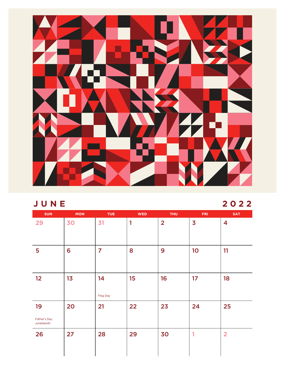

#### **JUNE 2022**

| <b>SUN</b>                 | <b>MON</b> | <b>TUE</b>     | <b>WED</b> | <b>THU</b>     | <b>FRI</b>              | <b>SAT</b>     |
|----------------------------|------------|----------------|------------|----------------|-------------------------|----------------|
| 29                         | 30         | 31             | 1          | $\overline{2}$ | $\overline{\mathbf{3}}$ | 4              |
|                            |            |                |            |                |                         |                |
| $5\phantom{a}$             | 6          | $\overline{7}$ | 8          | 9              | 10                      | 11             |
|                            |            |                |            |                |                         |                |
| 12                         | 13         | 14             | 15         | 16             | 17                      | 18             |
|                            |            | Flag Day       |            |                |                         |                |
| 19                         | 20         | 21             | 22         | 23             | 24                      | 25             |
| Father's Day<br>Juneteenth |            |                |            |                |                         |                |
| 26                         | 27         | 28             | 29         | 30             | 1                       | $\overline{2}$ |
|                            |            |                |            |                |                         |                |
|                            |            |                |            |                |                         |                |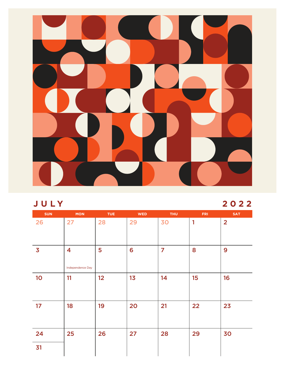

#### **J U LY 2022**

| <b>SUN</b>              | <b>MON</b>                                  | <b>TUE</b> | <b>WED</b> | <b>THU</b>     | <b>FRI</b>   | <b>SAT</b>     |
|-------------------------|---------------------------------------------|------------|------------|----------------|--------------|----------------|
| 26                      | 27                                          | 28         | 29         | 30             | $\mathbf{1}$ | $\overline{2}$ |
| $\overline{\mathbf{3}}$ | $\overline{\mathbf{4}}$<br>Independence Day | 5          | 6          | $\overline{7}$ | 8            | 9              |
| 10                      | 11                                          | 12         | 13         | 14             | 15           | 16             |
| 17                      | 18                                          | 19         | 20         | 21             | 22           | 23             |
| 24                      | 25                                          | 26         | 27         | 28             | 29           | 30             |
| 31                      |                                             |            |            |                |              |                |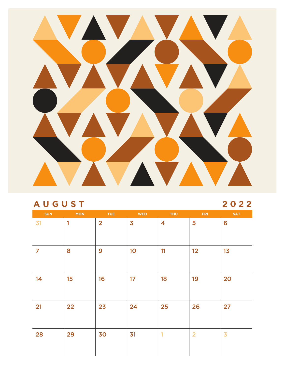

#### **AUGUST 2022**

| <b>SUN</b>     | <b>MON</b> | <b>TUE</b>     | <b>WED</b>              | <b>THU</b>              | <b>FRI</b>     | <b>SAT</b>     |
|----------------|------------|----------------|-------------------------|-------------------------|----------------|----------------|
| 31             | 1          | $\overline{2}$ | $\overline{\mathbf{3}}$ | $\overline{\mathbf{4}}$ | 5              | 6              |
| $\overline{7}$ | 8          | 9              | 10                      | 11                      | 12             | 13             |
| 14             | 15         | 16             | 17                      | 18                      | 19             | 20             |
| 21             | 22         | 23             | 24                      | 25                      | 26             | 27             |
| 28             | 29         | 30             | 31                      | 1                       | $\overline{2}$ | $\overline{3}$ |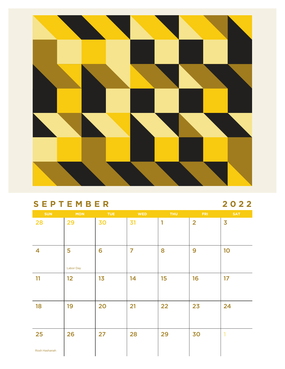

#### **SEPTEMBER 2022**

| <b>SUN</b>              | <b>MON</b>       | <b>TUE</b> | <b>WED</b>     | <b>THU</b> | <b>FRI</b>     | <b>SAT</b>              |
|-------------------------|------------------|------------|----------------|------------|----------------|-------------------------|
| 28                      | 29               | 30         | 31             | 1          | $\overline{2}$ | $\overline{\mathbf{3}}$ |
|                         |                  |            |                |            |                |                         |
| $\overline{\mathbf{4}}$ | 5                | 6          | $\overline{7}$ | 8          | 9              | 10                      |
|                         | <b>Labor Day</b> |            |                |            |                |                         |
| 11                      | 12               | 13         | 14             | 15         | 16             | 17                      |
|                         |                  |            |                |            |                |                         |
| 18                      | 19               | 20         | 21             | 22         | 23             | 24                      |
|                         |                  |            |                |            |                |                         |
| 25                      | 26               | 27         | 28             | 29         | 30             | $\mathbf{I}$            |
| Rosh Hashanah           |                  |            |                |            |                |                         |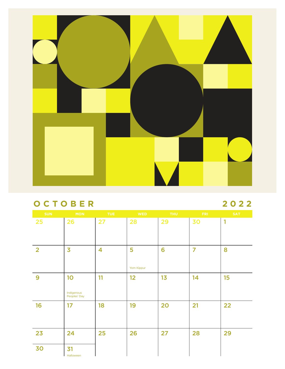

#### **OCTOBER 2022**

| <b>SUN</b>     | <b>MON</b>                       | TUE                     | <b>WED</b>      | THU | FRI            | <b>SAT</b> |
|----------------|----------------------------------|-------------------------|-----------------|-----|----------------|------------|
| 25             | 26                               | 27                      | 28              | 29  | 30             | 1          |
| $\overline{2}$ | $\overline{\mathbf{3}}$          | $\overline{\mathbf{4}}$ | 5<br>Yom Kippur | 6   | $\overline{7}$ | 8          |
| 9              | 10<br>Indigenous<br>Peoples' Day | 11                      | 12              | 13  | 14             | 15         |
| 16             | 17                               | 18                      | 19              | 20  | 21             | 22         |
| 23             | 24                               | 25                      | 26              | 27  | 28             | 29         |
| 30             | 31<br>Halloween                  |                         |                 |     |                |            |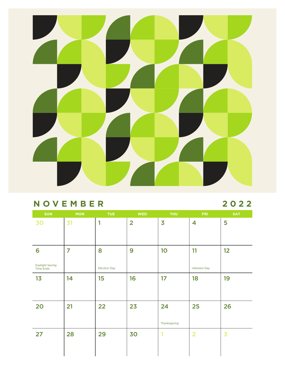

#### **NOVEMBER 2022**

| <b>MON</b> | <b>TUE</b>          | <b>WED</b>     | <b>THU</b>              | <b>FRI</b>              | <b>SAT</b>              |
|------------|---------------------|----------------|-------------------------|-------------------------|-------------------------|
| 31         | 1                   | $\overline{2}$ | $\overline{\mathbf{3}}$ | $\overline{\mathbf{4}}$ | 5                       |
|            |                     |                |                         |                         |                         |
| 7          | 8                   | 9              | 10                      | 11                      | 12                      |
|            | <b>Election Day</b> |                |                         | <b>Veterans Day</b>     |                         |
| 14         | 15                  | 16             | 17                      | 18                      | 19                      |
|            |                     |                |                         |                         |                         |
| 21         | 22                  | 23             | 24                      | 25                      | 26                      |
|            |                     |                | Thanksgiving            |                         |                         |
| 28         | 29                  | 30             | ٩                       | $\overline{2}$          | $\overline{\mathbf{3}}$ |
|            |                     |                |                         |                         |                         |
|            |                     |                |                         |                         |                         |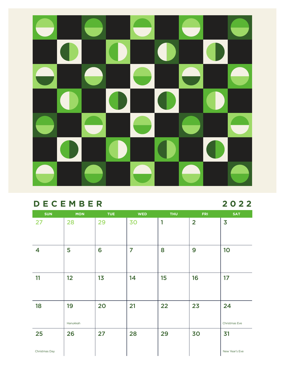

#### **DECEMBER 2022**

| <b>SUN</b>    | <b>MON</b>     | <b>TUE</b> | <b>WED</b>     | <b>THU</b> | <b>FRI</b>     | <b>SAT</b>              |
|---------------|----------------|------------|----------------|------------|----------------|-------------------------|
| 27            | 28             | 29         | 30             | 1          | $\overline{2}$ | $\overline{\mathbf{3}}$ |
| 4             | 5              | 6          | $\overline{7}$ | 8          | 9              | 10                      |
| 11            | 12             | 13         | 14             | 15         | 16             | 17                      |
| 18            | 19<br>Hanukkah | 20         | 21             | 22         | 23             | 24<br>Christmas Eve     |
| 25            | 26             | 27         | 28             | 29         | 30             | 31                      |
| Christmas Day |                |            |                |            |                | New Year's Eve          |